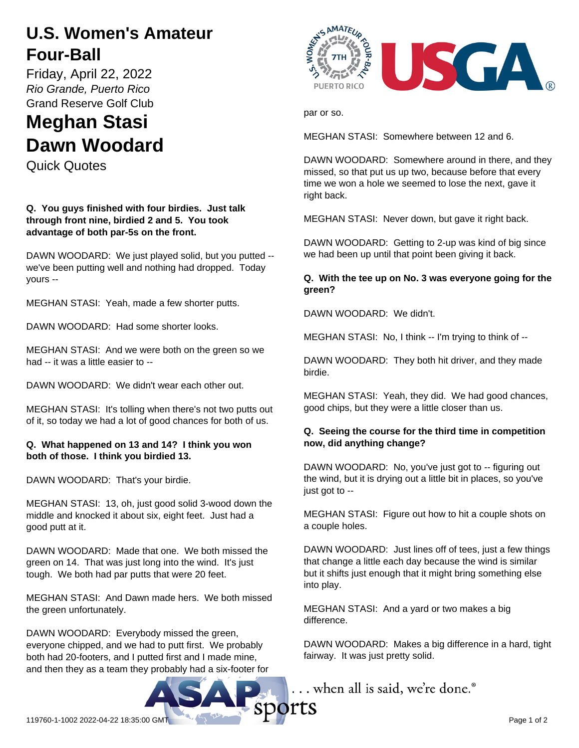## **U.S. Women's Amateur Four-Ball**

Friday, April 22, 2022 *Rio Grande, Puerto Rico* Grand Reserve Golf Club

# **Meghan Stasi Dawn Woodard**

Quick Quotes

**Q. You guys finished with four birdies. Just talk through front nine, birdied 2 and 5. You took advantage of both par-5s on the front.**

DAWN WOODARD: We just played solid, but you putted - we've been putting well and nothing had dropped. Today yours --

MEGHAN STASI: Yeah, made a few shorter putts.

DAWN WOODARD: Had some shorter looks.

MEGHAN STASI: And we were both on the green so we had -- it was a little easier to --

DAWN WOODARD: We didn't wear each other out.

MEGHAN STASI: It's tolling when there's not two putts out of it, so today we had a lot of good chances for both of us.

#### **Q. What happened on 13 and 14? I think you won both of those. I think you birdied 13.**

DAWN WOODARD: That's your birdie.

MEGHAN STASI: 13, oh, just good solid 3-wood down the middle and knocked it about six, eight feet. Just had a good putt at it.

DAWN WOODARD: Made that one. We both missed the green on 14. That was just long into the wind. It's just tough. We both had par putts that were 20 feet.

MEGHAN STASI: And Dawn made hers. We both missed the green unfortunately.

DAWN WOODARD: Everybody missed the green, everyone chipped, and we had to putt first. We probably both had 20-footers, and I putted first and I made mine, and then they as a team they probably had a six-footer for



par or so.

MEGHAN STASI: Somewhere between 12 and 6.

DAWN WOODARD: Somewhere around in there, and they missed, so that put us up two, because before that every time we won a hole we seemed to lose the next, gave it right back.

MEGHAN STASI: Never down, but gave it right back.

DAWN WOODARD: Getting to 2-up was kind of big since we had been up until that point been giving it back.

#### **Q. With the tee up on No. 3 was everyone going for the green?**

DAWN WOODARD: We didn't.

MEGHAN STASI: No, I think -- I'm trying to think of --

DAWN WOODARD: They both hit driver, and they made birdie.

MEGHAN STASI: Yeah, they did. We had good chances, good chips, but they were a little closer than us.

### **Q. Seeing the course for the third time in competition now, did anything change?**

DAWN WOODARD: No, you've just got to -- figuring out the wind, but it is drying out a little bit in places, so you've just got to --

MEGHAN STASI: Figure out how to hit a couple shots on a couple holes.

DAWN WOODARD: Just lines off of tees, just a few things that change a little each day because the wind is similar but it shifts just enough that it might bring something else into play.

MEGHAN STASI: And a yard or two makes a big difference.

DAWN WOODARD: Makes a big difference in a hard, tight fairway. It was just pretty solid.

... when all is said, we're done.